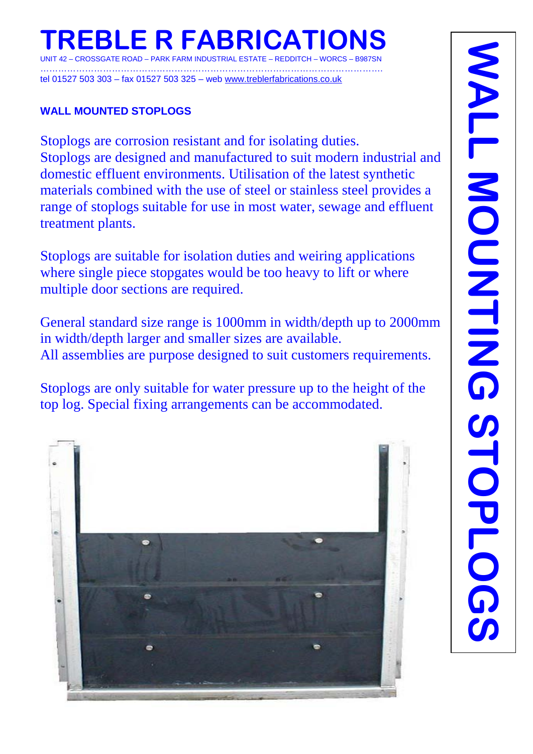# **TREBLE R FABRICATIONS**

UNIT 42 – CROSSGATE ROAD – PARK FARM INDUSTRIAL ESTATE – REDDITCH – WORCS – B987SN …………………………………………………………………………………………………….

tel 01527 503 303 – fax 01527 503 325 – web [www.treblerfabrications.co.uk](http://www.treblerfabrications.co.uk/)

#### **WALL MOUNTED STOPLOGS**

Stoplogs are corrosion resistant and for isolating duties. Stoplogs are designed and manufactured to suit modern industrial and domestic effluent environments. Utilisation of the latest synthetic materials combined with the use of steel or stainless steel provides a range of stoplogs suitable for use in most water, sewage and effluent treatment plants.

Stoplogs are suitable for isolation duties and weiring applications where single piece stopgates would be too heavy to lift or where multiple door sections are required.

General standard size range is 1000mm in width/depth up to 2000mm in width/depth larger and smaller sizes are available. All assemblies are purpose designed to suit customers requirements.

Stoplogs are only suitable for water pressure up to the height of the top log. Special fixing arrangements can be accommodated.

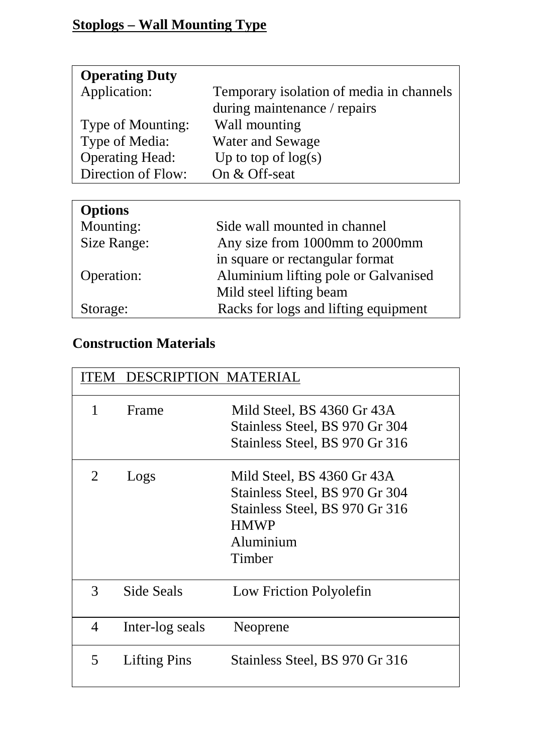| <b>Operating Duty</b>  |                                          |
|------------------------|------------------------------------------|
| Application:           | Temporary isolation of media in channels |
|                        | during maintenance / repairs             |
| Type of Mounting:      | Wall mounting                            |
| Type of Media:         | <b>Water and Sewage</b>                  |
| <b>Operating Head:</b> | Up to top of $log(s)$                    |
| Direction of Flow:     | On & Off-seat                            |

| <b>Options</b> |                                      |
|----------------|--------------------------------------|
| Mounting:      | Side wall mounted in channel         |
| Size Range:    | Any size from 1000mm to 2000mm       |
|                | in square or rectangular format      |
| Operation:     | Aluminium lifting pole or Galvanised |
|                | Mild steel lifting beam              |
| Storage:       | Racks for logs and lifting equipment |

# **Construction Materials**

|   | <b>DESCRIPTION MATERIAL</b> |                                |
|---|-----------------------------|--------------------------------|
| 1 | Frame                       | Mild Steel, BS 4360 Gr 43A     |
|   |                             | Stainless Steel, BS 970 Gr 304 |
|   |                             | Stainless Steel, BS 970 Gr 316 |
| 2 | Logs                        | Mild Steel, BS 4360 Gr 43A     |
|   |                             | Stainless Steel, BS 970 Gr 304 |
|   |                             | Stainless Steel, BS 970 Gr 316 |
|   |                             | <b>HMWP</b>                    |
|   |                             | Aluminium                      |
|   |                             | Timber                         |
| 3 | Side Seals                  | Low Friction Polyolefin        |
| 4 | Inter-log seals             | Neoprene                       |
| 5 | <b>Lifting Pins</b>         | Stainless Steel, BS 970 Gr 316 |
|   |                             |                                |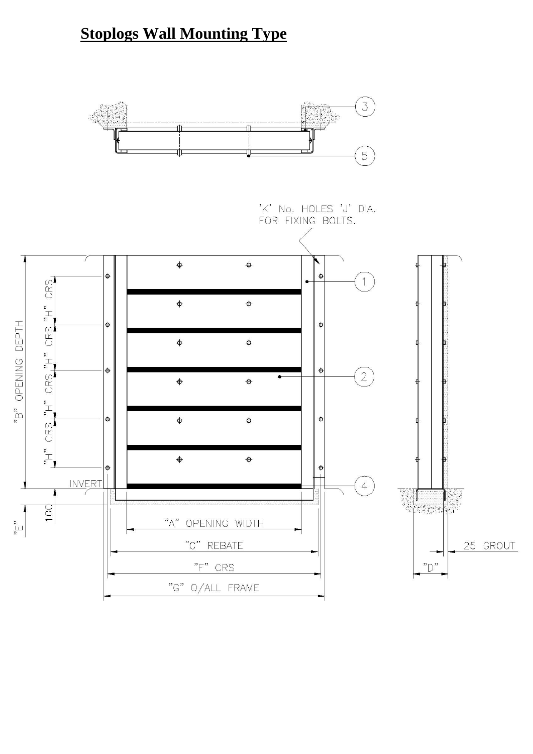# **Stoplogs Wall Mounting Type**

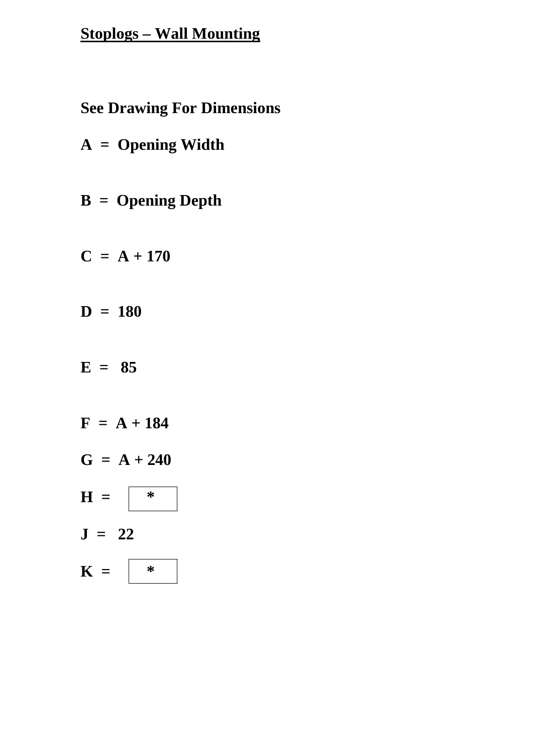#### **Stoplogs – Wall Mounting**

### **See Drawing For Dimensions**

- **A = Opening Width**
- **B = Opening Depth**
- $C = A + 170$
- **D = 180**
- $E = 85$
- $F = A + 184$  $G = A + 240$  $H = | *$ **J = 22**  $K = | *$